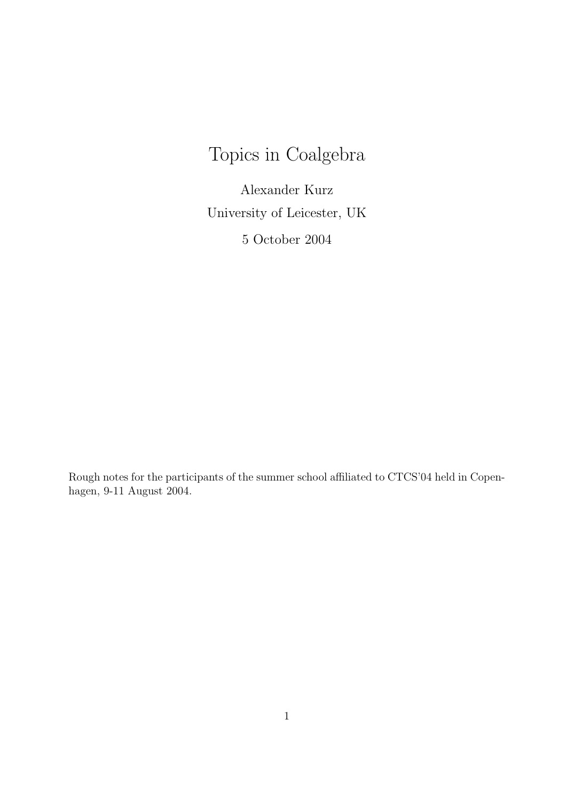# Topics in Coalgebra

Alexander Kurz University of Leicester, UK 5 October 2004

Rough notes for the participants of the summer school affiliated to CTCS'04 held in Copenhagen, 9-11 August 2004.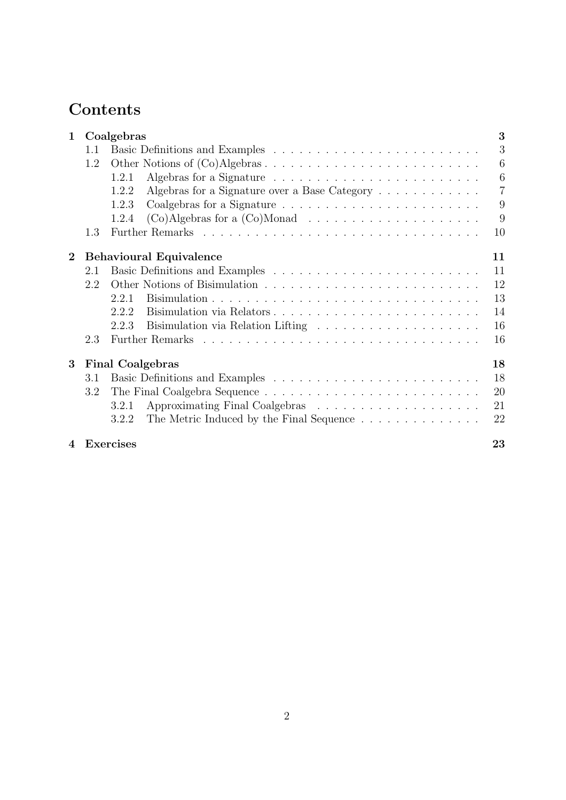## **Contents**

| $\mathbf{1}$     | Coalgebras |                                                                                  | 3              |
|------------------|------------|----------------------------------------------------------------------------------|----------------|
|                  | 1.1        |                                                                                  | 3              |
|                  | 1.2        |                                                                                  | 6              |
|                  |            | 1.2.1                                                                            | 6              |
|                  |            | Algebras for a Signature over a Base Category $\dots \dots \dots \dots$<br>1.2.2 | $\overline{7}$ |
|                  |            | 1.2.3                                                                            | 9              |
|                  |            | 1.2.4                                                                            | 9              |
|                  | 1.3        |                                                                                  | 10             |
| $\overline{2}$   |            | <b>Behavioural Equivalence</b>                                                   | 11             |
|                  | 2.1        |                                                                                  | 11             |
|                  | 2.2        |                                                                                  | 12             |
|                  |            | 2.2.1                                                                            | 13             |
|                  |            | 2.2.2                                                                            | 14             |
|                  |            | 2.2.3                                                                            | 16             |
|                  | 2.3        |                                                                                  | 16             |
| 3                |            | <b>Final Coalgebras</b>                                                          | 18             |
|                  | 3.1        |                                                                                  | 18             |
|                  | 3.2        |                                                                                  | 20             |
|                  |            | 3.2.1                                                                            | 21             |
|                  |            | The Metric Induced by the Final Sequence<br>3.2.2                                | 22             |
| $\boldsymbol{4}$ |            | <b>Exercises</b>                                                                 | 23             |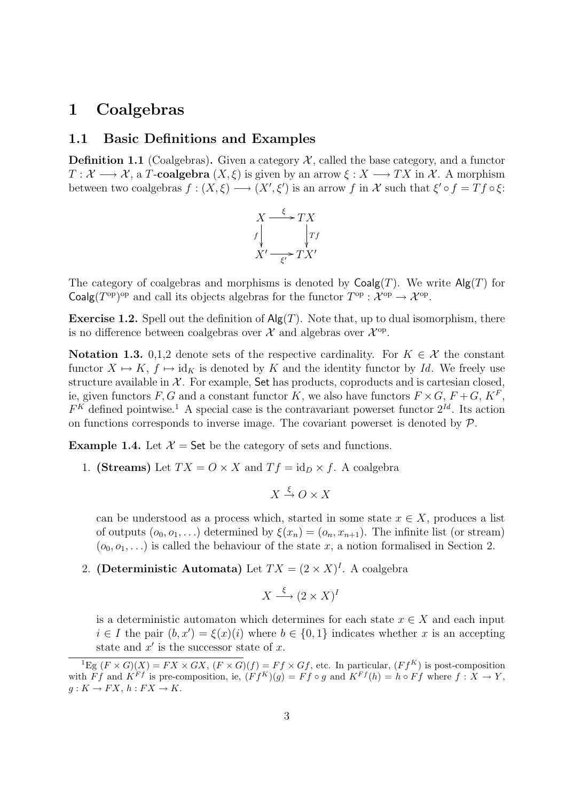## 1 Coalgebras

#### 1.1 Basic Definitions and Examples

**Definition 1.1** (Coalgebras). Given a category  $\mathcal{X}$ , called the base category, and a functor  $T: \mathcal{X} \longrightarrow \mathcal{X}$ , a T-coalgebra  $(X, \xi)$  is given by an arrow  $\xi: X \longrightarrow TX$  in X. A morphism between two coalgebras  $f: (X, \xi) \longrightarrow (X', \xi')$  is an arrow f in X such that  $\xi' \circ f = Tf \circ \xi$ :



The category of coalgebras and morphisms is denoted by  $Coalg(T)$ . We write  $Alg(T)$  for Coalg $(T^{\text{op}})^{\text{op}}$  and call its objects algebras for the functor  $T^{\text{op}}: \mathcal{X}^{\text{op}} \to \mathcal{X}^{\text{op}}$ .

**Exercise 1.2.** Spell out the definition of  $\mathsf{Alg}(T)$ . Note that, up to dual isomorphism, there is no difference between coalgebras over  $\mathcal{X}$  and algebras over  $\mathcal{X}^{\text{op}}$ .

Notation 1.3. 0,1,2 denote sets of the respective cardinality. For  $K \in \mathcal{X}$  the constant functor  $X \mapsto K$ ,  $f \mapsto id_K$  is denoted by K and the identity functor by Id. We freely use structure available in  $X$ . For example, Set has products, coproducts and is cartesian closed, ie, given functors  $F, G$  and a constant functor K, we also have functors  $F \times G$ ,  $F + G$ ,  $K^F$ ,  $F<sup>K</sup>$  defined pointwise.<sup>1</sup> A special case is the contravariant powerset functor  $2<sup>Id</sup>$ . Its action on functions corresponds to inverse image. The covariant powerset is denoted by  $P$ .

**Example 1.4.** Let  $\mathcal{X} =$  Set be the category of sets and functions.

1. (Streams) Let  $TX = O \times X$  and  $Tf = id_D \times f$ . A coalgebra

$$
X \xrightarrow{\xi} O \times X
$$

can be understood as a process which, started in some state  $x \in X$ , produces a list of outputs  $(o_0, o_1, \ldots)$  determined by  $\xi(x_n) = (o_n, x_{n+1})$ . The infinite list (or stream)  $(o_0, o_1, \ldots)$  is called the behaviour of the state x, a notion formalised in Section 2.

#### 2. (Deterministic Automata) Let  $TX = (2 \times X)^{I}$ . A coalgebra

$$
X \xrightarrow{\xi} (2 \times X)^{I}
$$

is a deterministic automaton which determines for each state  $x \in X$  and each input  $i \in I$  the pair  $(b, x') = \xi(x)(i)$  where  $b \in \{0, 1\}$  indicates whether x is an accepting state and  $x'$  is the successor state of  $x$ .

<sup>&</sup>lt;sup>1</sup>Eg  $(F \times G)(X) = FX \times GX$ ,  $(F \times G)(f) = Ff \times Gf$ , etc. In particular,  $(Ff^{K})$  is post-composition with  $\overrightarrow{F}f$  and  $\overrightarrow{K}^{F}f$  is pre-composition, ie,  $(\overrightarrow{F}f^{K})(g) = \overrightarrow{F}f \circ g$  and  $\overrightarrow{K}^{F}f(h) = h \circ \overrightarrow{F}f$  where  $f : X \to Y$ ,  $g: K \to FX, h: FX \to K.$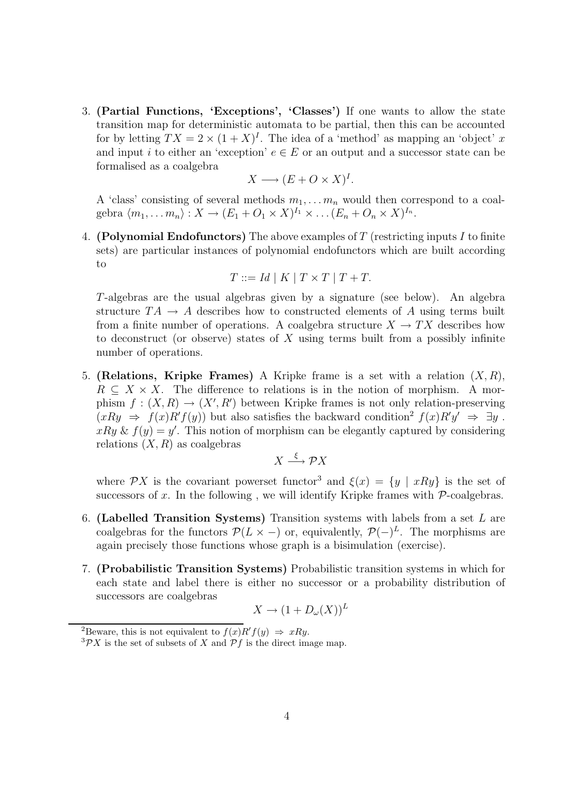3. (Partial Functions, 'Exceptions', 'Classes') If one wants to allow the state transition map for deterministic automata to be partial, then this can be accounted for by letting  $TX = 2 \times (1 + X)^I$ . The idea of a 'method' as mapping an 'object' x and input i to either an 'exception'  $e \in E$  or an output and a successor state can be formalised as a coalgebra

$$
X \longrightarrow (E + O \times X)^{I}.
$$

A 'class' consisting of several methods  $m_1, \ldots, m_n$  would then correspond to a coalgebra  $\langle m_1, \ldots m_n \rangle : X \to (E_1 + O_1 \times X)^{I_1} \times \ldots (E_n + O_n \times X)^{I_n}.$ 

4. **(Polynomial Endofunctors)** The above examples of T (restricting inputs I to finite sets) are particular instances of polynomial endofunctors which are built according to

$$
T ::= Id \mid K \mid T \times T \mid T + T.
$$

T-algebras are the usual algebras given by a signature (see below). An algebra structure  $TA \rightarrow A$  describes how to constructed elements of A using terms built from a finite number of operations. A coalgebra structure  $X \to TX$  describes how to deconstruct (or observe) states of  $X$  using terms built from a possibly infinite number of operations.

5. (Relations, Kripke Frames) A Kripke frame is a set with a relation  $(X, R)$ ,  $R \subseteq X \times X$ . The difference to relations is in the notion of morphism. A morphism  $f: (X, R) \to (X', R')$  between Kripke frames is not only relation-preserving  $(xRy \Rightarrow f(x)R'f(y))$  but also satisfies the backward condition<sup>2</sup>  $f(x)R'y' \Rightarrow \exists y$ .  $xRy \& f(y) = y'$ . This notion of morphism can be elegantly captured by considering relations  $(X, R)$  as coalgebras

$$
X \xrightarrow{\xi} \mathcal{P}X
$$

where PX is the covariant powerset functor<sup>3</sup> and  $\xi(x) = \{y \mid xRy\}$  is the set of successors of  $x$ . In the following, we will identify Kripke frames with  $P$ -coalgebras.

- 6. (Labelled Transition Systems) Transition systems with labels from a set L are coalgebras for the functors  $\mathcal{P}(L \times -)$  or, equivalently,  $\mathcal{P}(-)^L$ . The morphisms are again precisely those functions whose graph is a bisimulation (exercise).
- 7. (Probabilistic Transition Systems) Probabilistic transition systems in which for each state and label there is either no successor or a probability distribution of successors are coalgebras

$$
X \to (1 + D_{\omega}(X))^L
$$

<sup>&</sup>lt;sup>2</sup>Beware, this is not equivalent to  $f(x)R'f(y) \Rightarrow xRy$ .

 ${}^{3}\mathcal{P}X$  is the set of subsets of X and  $\mathcal{P}f$  is the direct image map.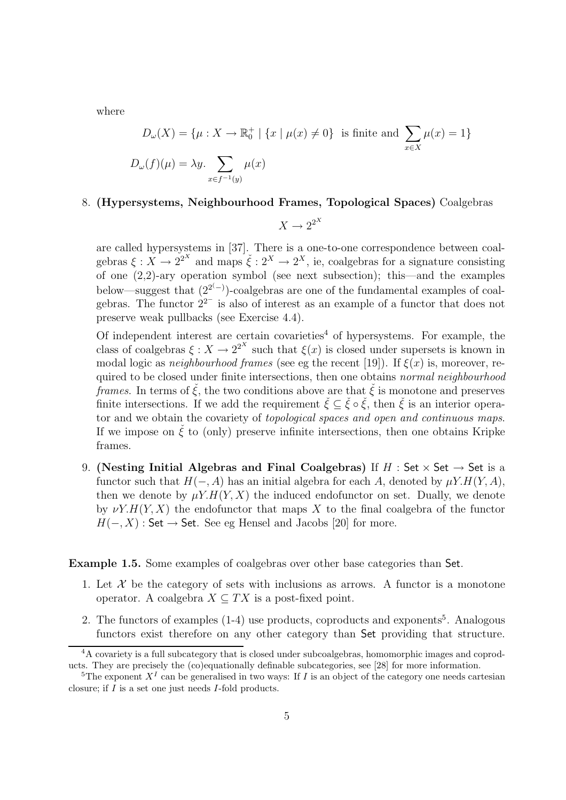where

$$
D_{\omega}(X) = \{\mu : X \to \mathbb{R}_0^+ \mid \{x \mid \mu(x) \neq 0\} \text{ is finite and } \sum_{x \in X} \mu(x) = 1\}
$$
  

$$
D_{\omega}(f)(\mu) = \lambda y. \sum_{x \in f^{-1}(y)} \mu(x)
$$

#### 8. (Hypersystems, Neighbourhood Frames, Topological Spaces) Coalgebras

$$
X \to 2^{2^X}
$$

are called hypersystems in [37]. There is a one-to-one correspondence between coalgebras  $\xi: X \to 2^{2^X}$  and maps  $\check{\xi}: 2^X \to 2^X$ , ie, coalgebras for a signature consisting of one (2,2)-ary operation symbol (see next subsection); this—and the examples below—suggest that  $(2^{2(-)})$ -coalgebras are one of the fundamental examples of coalgebras. The functor  $2^{2^{-}}$  is also of interest as an example of a functor that does not preserve weak pullbacks (see Exercise 4.4).

Of independent interest are certain covarieties<sup>4</sup> of hypersystems. For example, the class of coalgebras  $\xi: X \to 2^{2^X}$  such that  $\xi(x)$  is closed under supersets is known in modal logic as *neighbourhood frames* (see eg the recent [19]). If  $\xi(x)$  is, moreover, required to be closed under finite intersections, then one obtains *normal neighbourhood* frames. In terms of  $\check{\xi}$ , the two conditions above are that  $\check{\xi}$  is monotone and preserves finite intersections. If we add the requirement  $\check{\xi} \subseteq \check{\xi} \circ \check{\xi}$ , then  $\check{\xi}$  is an interior operator and we obtain the covariety of topological spaces and open and continuous maps. If we impose on  $\zeta$  to (only) preserve infinite intersections, then one obtains Kripke frames.

9. (Nesting Initial Algebras and Final Coalgebras) If  $H$  : Set  $\times$  Set  $\rightarrow$  Set is a functor such that  $H(-, A)$  has an initial algebra for each A, denoted by  $\mu Y.H(Y, A)$ , then we denote by  $\mu Y.H(Y,X)$  the induced endofunctor on set. Dually, we denote by  $\nu Y.H(Y, X)$  the endofunctor that maps X to the final coalgebra of the functor  $H(-, X)$ : Set → Set. See eg Hensel and Jacobs [20] for more.

Example 1.5. Some examples of coalgebras over other base categories than Set.

- 1. Let  $\mathcal X$  be the category of sets with inclusions as arrows. A functor is a monotone operator. A coalgebra  $X \subseteq TX$  is a post-fixed point.
- 2. The functors of examples (1-4) use products, coproducts and exponents<sup>5</sup>. Analogous functors exist therefore on any other category than Set providing that structure.

<sup>&</sup>lt;sup>4</sup>A covariety is a full subcategory that is closed under subcoalgebras, homomorphic images and coproducts. They are precisely the (co)equationally definable subcategories, see [28] for more information.

<sup>&</sup>lt;sup>5</sup>The exponent  $X^I$  can be generalised in two ways: If I is an object of the category one needs cartesian closure; if I is a set one just needs I-fold products.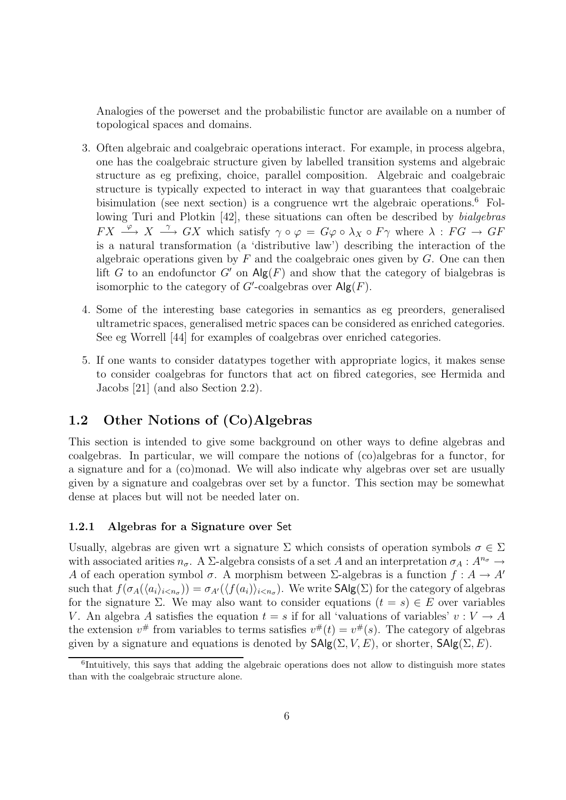Analogies of the powerset and the probabilistic functor are available on a number of topological spaces and domains.

- 3. Often algebraic and coalgebraic operations interact. For example, in process algebra, one has the coalgebraic structure given by labelled transition systems and algebraic structure as eg prefixing, choice, parallel composition. Algebraic and coalgebraic structure is typically expected to interact in way that guarantees that coalgebraic bisimulation (see next section) is a congruence wrt the algebraic operations.<sup>6</sup> Following Turi and Plotkin [42], these situations can often be described by *bialgebras*  $FX \stackrel{\varphi}{\longrightarrow} X \stackrel{\gamma}{\longrightarrow} GX$  which satisfy  $\gamma \circ \varphi = G\varphi \circ \lambda_X \circ F\gamma$  where  $\lambda : FG \to GF$ is a natural transformation (a 'distributive law') describing the interaction of the algebraic operations given by  $F$  and the coalgebraic ones given by  $G$ . One can then lift G to an endofunctor G' on  $\mathsf{Alg}(F)$  and show that the category of bialgebras is isomorphic to the category of  $G'$ -coalgebras over  $\mathsf{Alg}(F)$ .
- 4. Some of the interesting base categories in semantics as eg preorders, generalised ultrametric spaces, generalised metric spaces can be considered as enriched categories. See eg Worrell [44] for examples of coalgebras over enriched categories.
- 5. If one wants to consider datatypes together with appropriate logics, it makes sense to consider coalgebras for functors that act on fibred categories, see Hermida and Jacobs [21] (and also Section 2.2).

### 1.2 Other Notions of (Co)Algebras

This section is intended to give some background on other ways to define algebras and coalgebras. In particular, we will compare the notions of (co)algebras for a functor, for a signature and for a (co)monad. We will also indicate why algebras over set are usually given by a signature and coalgebras over set by a functor. This section may be somewhat dense at places but will not be needed later on.

#### 1.2.1 Algebras for a Signature over Set

Usually, algebras are given wrt a signature  $\Sigma$  which consists of operation symbols  $\sigma \in \Sigma$ with associated arities  $n_{\sigma}$ . A  $\Sigma$ -algebra consists of a set A and an interpretation  $\sigma_A: A^{n_{\sigma}} \to$ A of each operation symbol  $\sigma$ . A morphism between  $\Sigma$ -algebras is a function  $f : A \to A'$ such that  $f(\sigma_A(\langle a_i \rangle_{i \le n_\sigma})) = \sigma_{A'}(\langle f(a_i) \rangle_{i \le n_\sigma})$ . We write  $\mathsf{SAlg}(\Sigma)$  for the category of algebras for the signature Σ. We may also want to consider equations  $(t = s) \in E$  over variables V. An algebra A satisfies the equation  $t = s$  if for all 'valuations of variables'  $v : V \to A$ the extension  $v^{\#}$  from variables to terms satisfies  $v^{\#}(t) = v^{\#}(s)$ . The category of algebras given by a signature and equations is denoted by  $\mathsf{SAlg}(\Sigma, V, E)$ , or shorter,  $\mathsf{SAlg}(\Sigma, E)$ .

<sup>&</sup>lt;sup>6</sup>Intuitively, this says that adding the algebraic operations does not allow to distinguish more states than with the coalgebraic structure alone.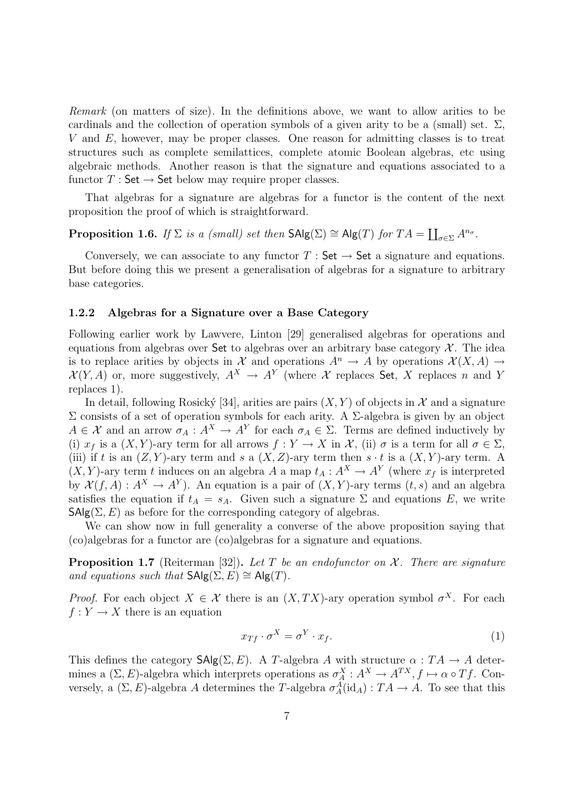Remark (on matters of size). In the definitions above, we want to allow arities to be cardinals and the collection of operation symbols of a given arity to be a (small) set.  $\Sigma$ , V and E, however, may be proper classes. One reason for admitting classes is to treat structures such as complete semilattices, complete atomic Boolean algebras, etc using algebraic methods. Another reason is that the signature and equations associated to a functor  $T : \mathsf{Set} \to \mathsf{Set}$  below may require proper classes.

That algebras for a signature are algebras for a functor is the content of the next proposition the proof of which is straightforward.

## **Proposition 1.6.** If  $\Sigma$  is a (small) set then  $\mathsf{SAlg}(\Sigma) \cong \mathsf{Alg}(T)$  for  $TA = \coprod_{\sigma \in \Sigma} A^{n_{\sigma}}$ .

Conversely, we can associate to any functor  $T : Set \rightarrow Set$  a signature and equations. But before doing this we present a generalisation of algebras for a signature to arbitrary base categories.

#### 1.2.2 Algebras for a Signature over a Base Category

Following earlier work by Lawvere, Linton [29] generalised algebras for operations and equations from algebras over Set to algebras over an arbitrary base category  $\mathcal X$ . The idea is to replace arities by objects in X and operations  $A^n \to A$  by operations  $\mathcal{X}(X, A) \to$  $\mathcal{X}(Y,A)$  or, more suggestively,  $A^X \to A^Y$  (where X replaces Set, X replaces n and Y replaces 1).

In detail, following Rosický [34], arities are pairs  $(X, Y)$  of objects in X and a signature Σ consists of a set of operation symbols for each arity. A Σ-algebra is given by an object  $A \in \mathcal{X}$  and an arrow  $\sigma_A : A^X \to A^Y$  for each  $\sigma_A \in \Sigma$ . Terms are defined inductively by (i)  $x_f$  is a  $(X, Y)$ -ary term for all arrows  $f : Y \to X$  in  $\mathcal{X}$ , (ii)  $\sigma$  is a term for all  $\sigma \in \Sigma$ , (iii) if t is an  $(Z, Y)$ -ary term and s a  $(X, Z)$ -ary term then  $s \cdot t$  is a  $(X, Y)$ -ary term. A  $(X, Y)$ -ary term t induces on an algebra A a map  $t_A : A^X \to A^Y$  (where  $x_f$  is interpreted by  $\mathcal{X}(f,A): A^X \to A^Y$ ). An equation is a pair of  $(X,Y)$ -ary terms  $(t, s)$  and an algebra satisfies the equation if  $t_A = s_A$ . Given such a signature  $\Sigma$  and equations E, we write  $\mathsf{SAlg}(\Sigma, E)$  as before for the corresponding category of algebras.

We can show now in full generality a converse of the above proposition saying that (co)algebras for a functor are (co)algebras for a signature and equations.

**Proposition 1.7** (Reiterman [32]). Let T be an endofunctor on  $\mathcal{X}$ . There are signature and equations such that  $\mathsf{SAlg}(\Sigma, E) \cong \mathsf{Alg}(T)$ .

*Proof.* For each object  $X \in \mathcal{X}$  there is an  $(X, TX)$ -ary operation symbol  $\sigma^X$ . For each  $f: Y \to X$  there is an equation

$$
x_{Tf} \cdot \sigma^X = \sigma^Y \cdot x_f. \tag{1}
$$

This defines the category  $\mathsf{SAlg}(\Sigma, E)$ . A T-algebra A with structure  $\alpha : TA \to A$  determines a  $(\Sigma, E)$ -algebra which interprets operations as  $\sigma_A^X : A^X \to A^{TX}, f \mapsto \alpha \circ Tf$ . Conversely, a  $(\Sigma, E)$ -algebra A determines the T-algebra  $\sigma_A^A(\text{id}_A) : TA \to A$ . To see that this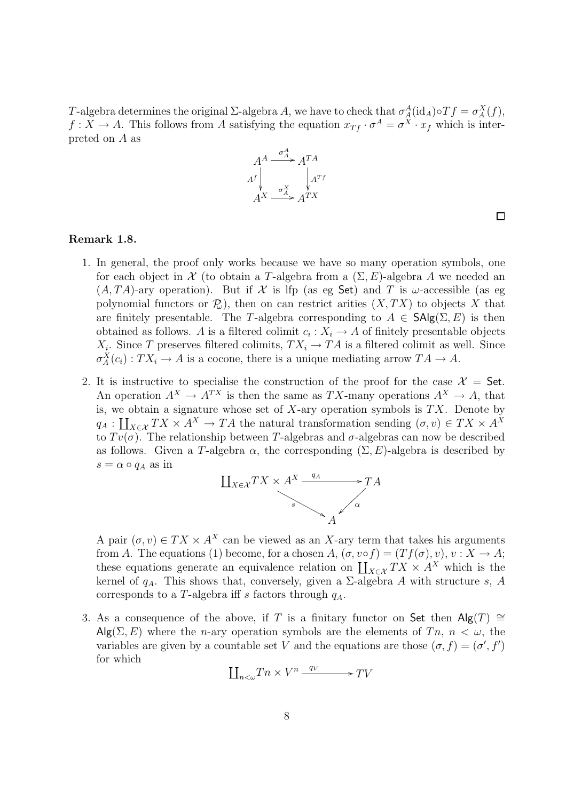T-algebra determines the original  $\Sigma$ -algebra A, we have to check that  $\sigma_A^A(\text{id}_A) \circ Tf = \sigma_A^X(f)$ ,  $f: X \to A$ . This follows from A satisfying the equation  $x_{Tf} \cdot \sigma^A = \sigma^X \cdot x_f$  which is interpreted on A as



 $\Box$ 

#### Remark 1.8.

- 1. In general, the proof only works because we have so many operation symbols, one for each object in  $\mathcal X$  (to obtain a T-algebra from a  $(\Sigma, E)$ -algebra A we needed an  $(A, TA)$ -ary operation). But if X is lfp (as eg Set) and T is  $\omega$ -accessible (as eg polynomial functors or  $\mathcal{P}_{\omega}$ , then on can restrict arities  $(X, TX)$  to objects X that are finitely presentable. The T-algebra corresponding to  $A \in \mathsf{SAlg}(\Sigma, E)$  is then obtained as follows. A is a filtered colimit  $c_i: X_i \to A$  of finitely presentable objects  $X_i$ . Since T preserves filtered colimits,  $TX_i \to TA$  is a filtered colimit as well. Since  $\sigma_A^X(c_i) : TX_i \to A$  is a cocone, there is a unique mediating arrow  $TA \to A$ .
- 2. It is instructive to specialise the construction of the proof for the case  $\mathcal{X} =$  Set. An operation  $A^X \to A^{TX}$  is then the same as TX-many operations  $A^X \to A$ , that is, we obtain a signature whose set of  $X$ -ary operation symbols is  $TX$ . Denote by  $q_A : \coprod_{X \in \mathcal{X}} TX \times A^X \to TA$  the natural transformation sending  $(\sigma, v) \in TX \times A^X$ to  $Tv(\sigma)$ . The relationship between T-algebras and  $\sigma$ -algebras can now be described as follows. Given a T-algebra  $\alpha$ , the corresponding  $(\Sigma, E)$ -algebra is described by  $s = \alpha \circ q_A$  as in



A pair  $(\sigma, v) \in TX \times A^X$  can be viewed as an X-ary term that takes his arguments from A. The equations (1) become, for a chosen  $A, (\sigma, v \circ f) = (Tf(\sigma), v), v : X \to A;$ these equations generate an equivalence relation on  $\prod_{X \in \mathcal{X}}^X TX \times A^X$  which is the kernel of  $q_A$ . This shows that, conversely, given a  $\Sigma$ -algebra A with structure s, A corresponds to a T-algebra iff s factors through  $q_A$ .

3. As a consequence of the above, if T is a finitary functor on Set then Alg(T)  $\cong$  $\mathsf{Alg}(\Sigma, E)$  where the *n*-ary operation symbols are the elements of  $T_n$ ,  $n < \omega$ , the variables are given by a countable set V and the equations are those  $(\sigma, f) = (\sigma', f')$ for which

$$
\coprod\nolimits_{n<\omega}Tn\times V^{n}\xrightarrow{q_{V}}-TV
$$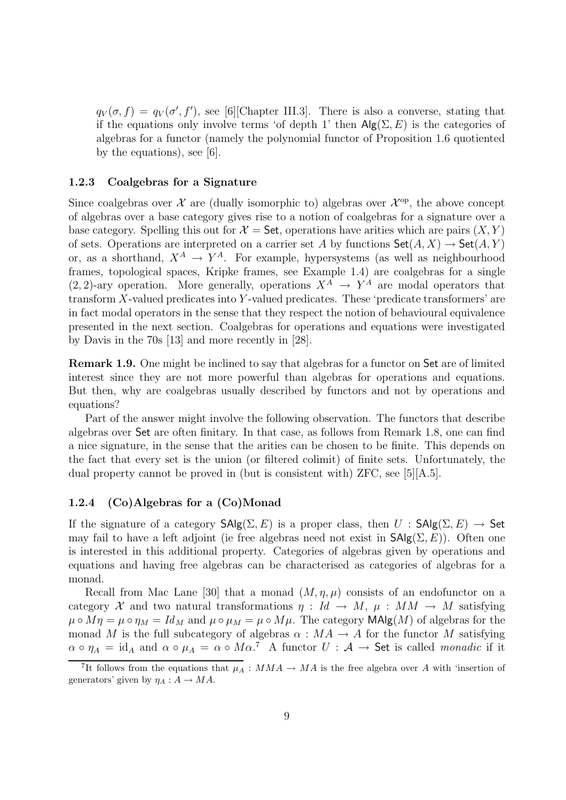$q_V(\sigma, f) = q_V(\sigma', f')$ , see [6] [Chapter III.3]. There is also a converse, stating that if the equations only involve terms 'of depth 1' then  $\mathsf{Alg}(\Sigma, E)$  is the categories of algebras for a functor (namely the polynomial functor of Proposition 1.6 quotiented by the equations), see [6].

#### 1.2.3 Coalgebras for a Signature

Since coalgebras over  $\mathcal X$  are (dually isomorphic to) algebras over  $\mathcal X^{\mathrm{op}}$ , the above concept of algebras over a base category gives rise to a notion of coalgebras for a signature over a base category. Spelling this out for  $\mathcal{X} =$  Set, operations have arities which are pairs  $(X, Y)$ of sets. Operations are interpreted on a carrier set A by functions  $\mathsf{Set}(A, X) \to \mathsf{Set}(A, Y)$ or, as a shorthand,  $X^A \rightarrow Y^A$ . For example, hypersystems (as well as neighbourhood frames, topological spaces, Kripke frames, see Example 1.4) are coalgebras for a single  $(2, 2)$ -ary operation. More generally, operations  $X^A \rightarrow Y^A$  are modal operators that transform  $X$ -valued predicates into  $Y$ -valued predicates. These 'predicate transformers' are in fact modal operators in the sense that they respect the notion of behavioural equivalence presented in the next section. Coalgebras for operations and equations were investigated by Davis in the 70s [13] and more recently in [28].

Remark 1.9. One might be inclined to say that algebras for a functor on Set are of limited interest since they are not more powerful than algebras for operations and equations. But then, why are coalgebras usually described by functors and not by operations and equations?

Part of the answer might involve the following observation. The functors that describe algebras over Set are often finitary. In that case, as follows from Remark 1.8, one can find a nice signature, in the sense that the arities can be chosen to be finite. This depends on the fact that every set is the union (or filtered colimit) of finite sets. Unfortunately, the dual property cannot be proved in (but is consistent with) ZFC, see [5][A.5].

#### 1.2.4 (Co)Algebras for a (Co)Monad

If the signature of a category  $\mathsf{SAlg}(\Sigma, E)$  is a proper class, then  $U : \mathsf{SAlg}(\Sigma, E) \to \mathsf{Set}$ may fail to have a left adjoint (ie free algebras need not exist in  $\mathsf{SAlg}(\Sigma, E)$ ). Often one is interested in this additional property. Categories of algebras given by operations and equations and having free algebras can be characterised as categories of algebras for a monad.

Recall from Mac Lane [30] that a monad  $(M, \eta, \mu)$  consists of an endofunctor on a category X and two natural transformations  $\eta : Id \to M$ ,  $\mu : MM \to M$  satisfying  $\mu \circ M\eta = \mu \circ \eta_M = Id_M$  and  $\mu \circ \mu_M = \mu \circ M\mu$ . The category **MAlg** $(M)$  of algebras for the monad M is the full subcategory of algebras  $\alpha : MA \rightarrow A$  for the functor M satisfying  $\alpha \circ \eta_A = id_A$  and  $\alpha \circ \mu_A = \alpha \circ M\alpha$ .<sup>7</sup> A functor  $U : \mathcal{A} \to \mathsf{Set}$  is called *monadic* if it

<sup>&</sup>lt;sup>7</sup>It follows from the equations that  $\mu_A : MMA \to MA$  is the free algebra over A with 'insertion of generators' given by  $\eta_A : A \to MA$ .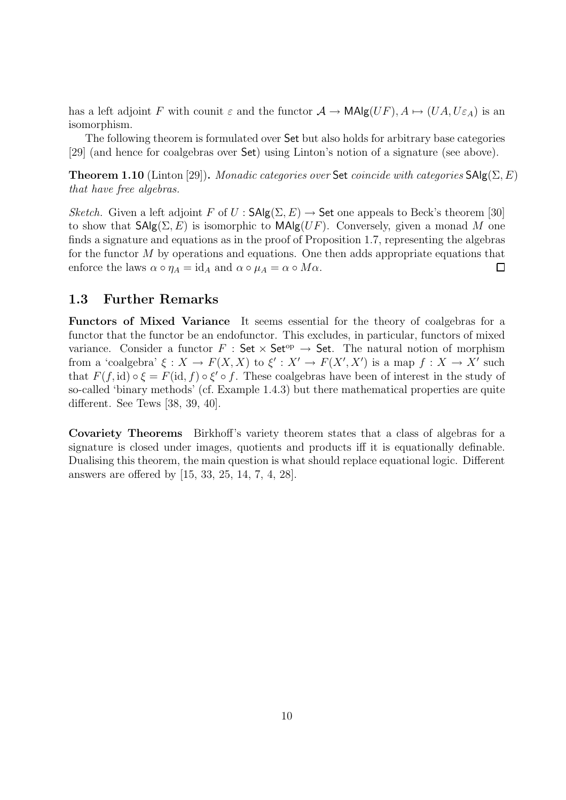has a left adjoint F with counit  $\varepsilon$  and the functor  $\mathcal{A} \to \mathsf{MAlg}(UF)$ ,  $A \mapsto (UA, U\varepsilon_A)$  is an isomorphism.

The following theorem is formulated over Set but also holds for arbitrary base categories [29] (and hence for coalgebras over Set) using Linton's notion of a signature (see above).

**Theorem 1.10** (Linton [29]). Monadic categories over Set coincide with categories  $\text{SAlg}(\Sigma, E)$ that have free algebras.

Sketch. Given a left adjoint F of  $U : \mathsf{SAlg}(\Sigma, E) \to \mathsf{Set}$  one appeals to Beck's theorem [30] to show that  $\mathsf{SAlg}(\Sigma, E)$  is isomorphic to  $\mathsf{MAlg}(UF)$ . Conversely, given a monad M one finds a signature and equations as in the proof of Proposition 1.7, representing the algebras for the functor  $M$  by operations and equations. One then adds appropriate equations that enforce the laws  $\alpha \circ \eta_A = id_A$  and  $\alpha \circ \mu_A = \alpha \circ M\alpha$ .  $\Box$ 

#### 1.3 Further Remarks

Functors of Mixed Variance It seems essential for the theory of coalgebras for a functor that the functor be an endofunctor. This excludes, in particular, functors of mixed variance. Consider a functor F : Set  $\times$  Set<sup>op</sup>  $\rightarrow$  Set. The natural notion of morphism from a 'coalgebra'  $\xi: X \to F(X, X)$  to  $\xi': X' \to F(X', X')$  is a map  $f: X \to X'$  such that  $F(f, id) \circ \xi = F(id, f) \circ \xi' \circ f$ . These coalgebras have been of interest in the study of so-called 'binary methods' (cf. Example 1.4.3) but there mathematical properties are quite different. See Tews [38, 39, 40].

Covariety Theorems Birkhoff's variety theorem states that a class of algebras for a signature is closed under images, quotients and products iff it is equationally definable. Dualising this theorem, the main question is what should replace equational logic. Different answers are offered by [15, 33, 25, 14, 7, 4, 28].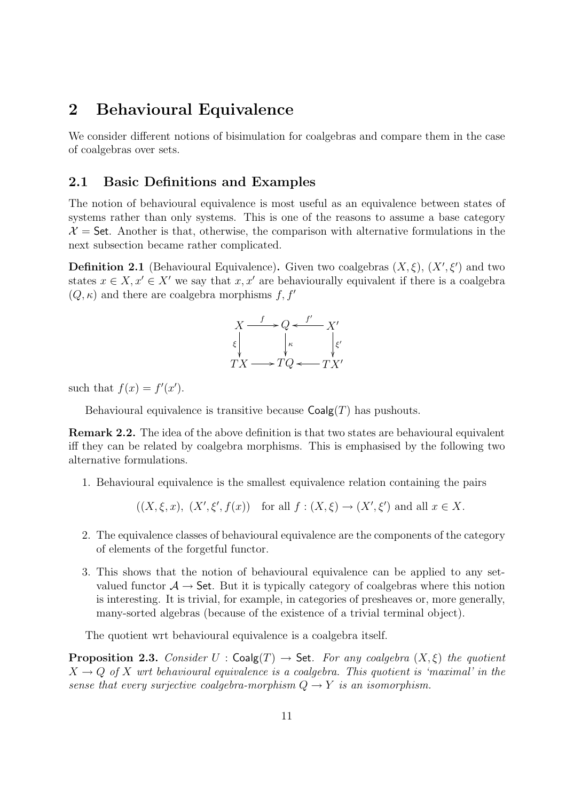## 2 Behavioural Equivalence

We consider different notions of bisimulation for coalgebras and compare them in the case of coalgebras over sets.

### 2.1 Basic Definitions and Examples

The notion of behavioural equivalence is most useful as an equivalence between states of systems rather than only systems. This is one of the reasons to assume a base category  $\mathcal{X} =$  Set. Another is that, otherwise, the comparison with alternative formulations in the next subsection became rather complicated.

**Definition 2.1** (Behavioural Equivalence). Given two coalgebras  $(X, \xi)$ ,  $(X', \xi')$  and two states  $x \in X$ ,  $x' \in X'$  we say that  $x, x'$  are behaviourally equivalent if there is a coalgebra  $(Q, \kappa)$  and there are coalgebra morphisms f, f'



such that  $f(x) = f'(x')$ .

Behavioural equivalence is transitive because  $Coalg(T)$  has pushouts.

Remark 2.2. The idea of the above definition is that two states are behavioural equivalent iff they can be related by coalgebra morphisms. This is emphasised by the following two alternative formulations.

- 1. Behavioural equivalence is the smallest equivalence relation containing the pairs
	- $((X,\xi,x), (X',\xi',f(x))$  for all  $f:(X,\xi) \to (X',\xi')$  and all  $x \in X$ .
- 2. The equivalence classes of behavioural equivalence are the components of the category of elements of the forgetful functor.
- 3. This shows that the notion of behavioural equivalence can be applied to any setvalued functor  $A \rightarrow$  Set. But it is typically category of coalgebras where this notion is interesting. It is trivial, for example, in categories of presheaves or, more generally, many-sorted algebras (because of the existence of a trivial terminal object).

The quotient wrt behavioural equivalence is a coalgebra itself.

**Proposition 2.3.** Consider  $U : \mathsf{Coalg}(T) \to \mathsf{Set}$ . For any coalgebra  $(X, \xi)$  the quotient  $X \to Q$  of X wrt behavioural equivalence is a coalgebra. This quotient is 'maximal' in the sense that every surjective coalgebra-morphism  $Q \rightarrow Y$  is an isomorphism.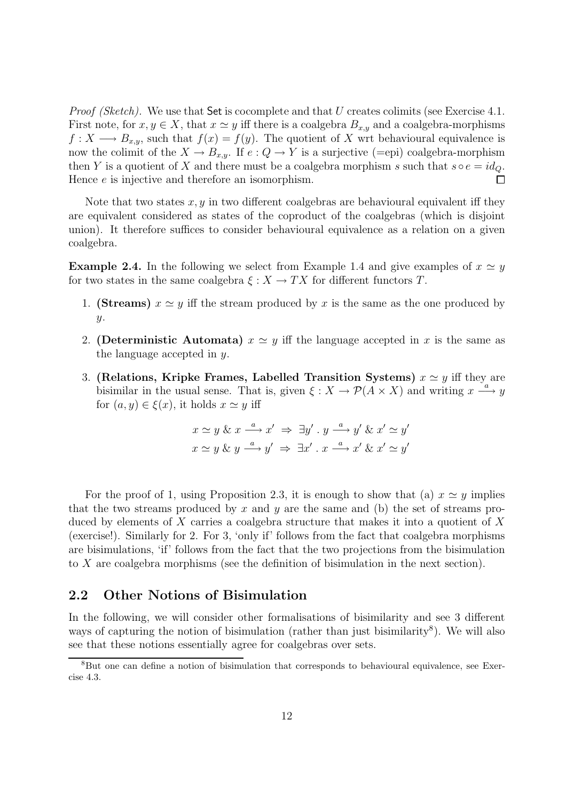*Proof (Sketch).* We use that  $Set$  is cocomplete and that U creates colimits (see Exercise 4.1. First note, for  $x, y \in X$ , that  $x \simeq y$  iff there is a coalgebra  $B_{x,y}$  and a coalgebra-morphisms  $f: X \longrightarrow B_{x,y}$ , such that  $f(x) = f(y)$ . The quotient of X wrt behavioural equivalence is now the colimit of the  $X \to B_{x,y}$ . If  $e: Q \to Y$  is a surjective (=epi) coalgebra-morphism then Y is a quotient of X and there must be a coalgebra morphism s such that  $s \circ e = id_Q$ . Hence  $e$  is injective and therefore an isomorphism. П

Note that two states  $x, y$  in two different coalgebras are behavioural equivalent iff they are equivalent considered as states of the coproduct of the coalgebras (which is disjoint union). It therefore suffices to consider behavioural equivalence as a relation on a given coalgebra.

**Example 2.4.** In the following we select from Example 1.4 and give examples of  $x \simeq y$ for two states in the same coalgebra  $\xi : X \to TX$  for different functors T.

- 1. (Streams)  $x \simeq y$  iff the stream produced by x is the same as the one produced by  $y$ .
- 2. (Deterministic Automata)  $x \simeq y$  iff the language accepted in x is the same as the language accepted in y.
- 3. (Relations, Kripke Frames, Labelled Transition Systems)  $x \simeq y$  iff they are bisimilar in the usual sense. That is, given  $\xi: X \to \mathcal{P}(\overline{A} \times X)$  and writing  $x \stackrel{a}{\longrightarrow} y$ for  $(a, y) \in \xi(x)$ , it holds  $x \simeq y$  iff

$$
x \simeq y \& x \xrightarrow{a} x' \Rightarrow \exists y' \cdot y \xrightarrow{a} y' \& x' \simeq y'
$$

$$
x \simeq y \& y \xrightarrow{a} y' \Rightarrow \exists x' \cdot x \xrightarrow{a} x' \& x' \simeq y'
$$

For the proof of 1, using Proposition 2.3, it is enough to show that (a)  $x \simeq y$  implies that the two streams produced by x and y are the same and (b) the set of streams produced by elements of X carries a coalgebra structure that makes it into a quotient of X (exercise!). Similarly for 2. For 3, 'only if' follows from the fact that coalgebra morphisms are bisimulations, 'if' follows from the fact that the two projections from the bisimulation to X are coalgebra morphisms (see the definition of bisimulation in the next section).

#### 2.2 Other Notions of Bisimulation

In the following, we will consider other formalisations of bisimilarity and see 3 different ways of capturing the notion of bisimulation (rather than just bisimilarity<sup>8</sup>). We will also see that these notions essentially agree for coalgebras over sets.

<sup>&</sup>lt;sup>8</sup>But one can define a notion of bisimulation that corresponds to behavioural equivalence, see Exercise 4.3.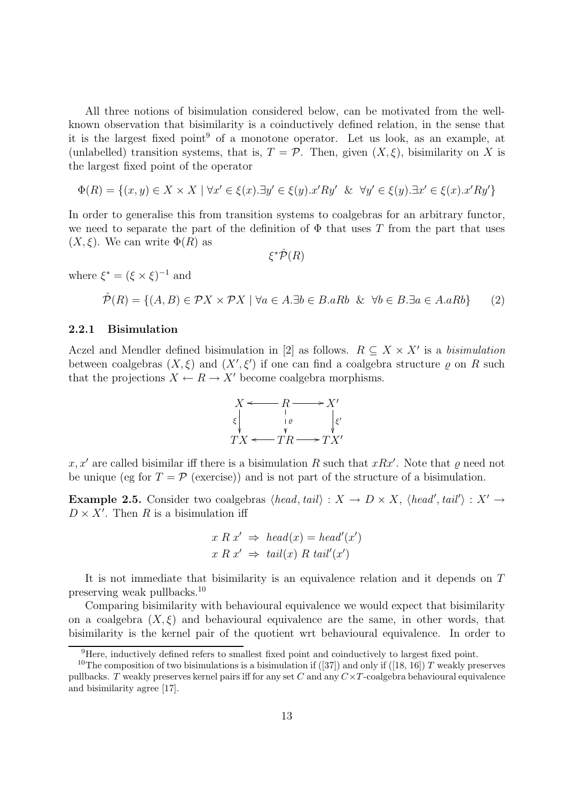All three notions of bisimulation considered below, can be motivated from the wellknown observation that bisimilarity is a coinductively defined relation, in the sense that it is the largest fixed point<sup>9</sup> of a monotone operator. Let us look, as an example, at (unlabelled) transition systems, that is,  $T = \mathcal{P}$ . Then, given  $(X, \xi)$ , bisimilarity on X is the largest fixed point of the operator

$$
\Phi(R) = \{(x, y) \in X \times X \mid \forall x' \in \xi(x). \exists y' \in \xi(y). x'Ry' \& \forall y' \in \xi(y). \exists x' \in \xi(x). x'Ry'\}
$$

In order to generalise this from transition systems to coalgebras for an arbitrary functor, we need to separate the part of the definition of  $\Phi$  that uses T from the part that uses  $(X, \xi)$ . We can write  $\Phi(R)$  as

 $\xi^* \hat{\mathcal{P}}(R)$ 

where  $\xi^* = (\xi \times \xi)^{-1}$  and

$$
\hat{\mathcal{P}}(R) = \{ (A, B) \in \mathcal{P}X \times \mathcal{P}X \mid \forall a \in A. \exists b \in B. aRb \& \forall b \in B. \exists a \in A. aRb \} \tag{2}
$$

#### 2.2.1 Bisimulation

Aczel and Mendler defined bisimulation in [2] as follows.  $R \subseteq X \times X'$  is a bisimulation between coalgebras  $(X, \xi)$  and  $(X', \xi')$  if one can find a coalgebra structure  $\varrho$  on R such that the projections  $X \leftarrow R \rightarrow X'$  become coalgebra morphisms.



x, x' are called bisimilar iff there is a bisimulation R such that xRx'. Note that  $\varrho$  need not be unique (eg for  $T = \mathcal{P}$  (exercise)) and is not part of the structure of a bisimulation.

**Example 2.5.** Consider two coalgebras  $\langle head, tail \rangle : X \to D \times X$ ,  $\langle head', tail' \rangle : X' \to Y$  $D \times X'$ . Then R is a bisimulation iff

$$
x R x' \Rightarrow head(x) = head'(x')
$$
  

$$
x R x' \Rightarrow tail(x) R tail'(x')
$$

It is not immediate that bisimilarity is an equivalence relation and it depends on T preserving weak pullbacks.<sup>10</sup>

Comparing bisimilarity with behavioural equivalence we would expect that bisimilarity on a coalgebra  $(X, \xi)$  and behavioural equivalence are the same, in other words, that bisimilarity is the kernel pair of the quotient wrt behavioural equivalence. In order to

<sup>&</sup>lt;sup>9</sup>Here, inductively defined refers to smallest fixed point and coinductively to largest fixed point.

<sup>&</sup>lt;sup>10</sup>The composition of two bisimulations is a bisimulation if ([37]) and only if ([18, 16]) T weakly preserves pullbacks. T weakly preserves kernel pairs iff for any set C and any  $C \times T$ -coalgebra behavioural equivalence and bisimilarity agree [17].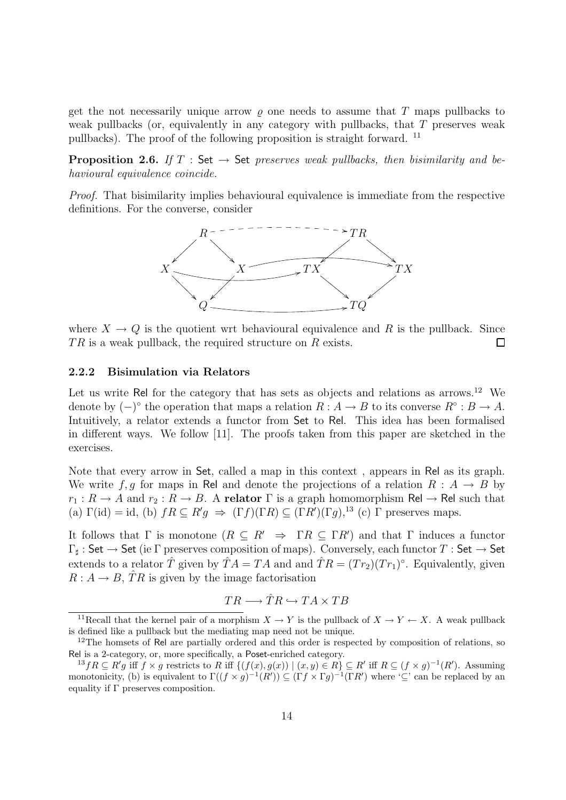get the not necessarily unique arrow  $\rho$  one needs to assume that T maps pullbacks to weak pullbacks (or, equivalently in any category with pullbacks, that T preserves weak pullbacks). The proof of the following proposition is straight forward. <sup>11</sup>

**Proposition 2.6.** If T : Set  $\rightarrow$  Set preserves weak pullbacks, then bisimilarity and behavioural equivalence coincide.

Proof. That bisimilarity implies behavioural equivalence is immediate from the respective definitions. For the converse, consider



where  $X \to Q$  is the quotient wrt behavioural equivalence and R is the pullback. Since  $TR$  is a weak pullback, the required structure on  $R$  exists. □

#### 2.2.2 Bisimulation via Relators

Let us write Rel for the category that has sets as objects and relations as arrows.<sup>12</sup> We denote by  $(-)^\circ$  the operation that maps a relation  $R : A \to B$  to its converse  $R^\circ : B \to A$ . Intuitively, a relator extends a functor from Set to Rel. This idea has been formalised in different ways. We follow [11]. The proofs taken from this paper are sketched in the exercises.

Note that every arrow in Set, called a map in this context , appears in Rel as its graph. We write f, g for maps in Rel and denote the projections of a relation  $R : A \rightarrow B$  by  $r_1: R \to A$  and  $r_2: R \to B$ . A relator  $\Gamma$  is a graph homomorphism Rel  $\to$  Rel such that (a)  $\Gamma(\text{id}) = \text{id}$ , (b)  $fR \subseteq R'g \Rightarrow (\Gamma f)(\Gamma R) \subseteq (\Gamma R')(\Gamma g)$ ,<sup>13</sup> (c)  $\Gamma$  preserves maps.

It follows that  $\Gamma$  is monotone  $(R \subseteq R' \Rightarrow \Gamma R \subseteq \Gamma R')$  and that  $\Gamma$  induces a functor  $\Gamma_\sharp:\mathsf{Set}\to\mathsf{Set}$  (ie  $\Gamma$  preserves composition of maps). Conversely, each functor  $T:\mathsf{Set}\to\mathsf{Set}$ extends to a relator  $\hat{T}$  given by  $\hat{T}A = TA$  and and  $\hat{T}R = (Tr_2)(Tr_1)^{\circ}$ . Equivalently, given  $R: A \to B$ ,  $\hat{T}R$  is given by the image factorisation

$$
TR \longrightarrow \hat{T}R \hookrightarrow TA \times TB
$$

<sup>&</sup>lt;sup>11</sup>Recall that the kernel pair of a morphism  $X \to Y$  is the pullback of  $X \to Y \leftarrow X$ . A weak pullback is defined like a pullback but the mediating map need not be unique.

 $12$ The homsets of Rel are partially ordered and this order is respected by composition of relations, so Rel is a 2-category, or, more specifically, a Poset-enriched category.

 ${}^{13}fR \subseteq R'g$  iff  $f \times g$  restricts to R iff  $\{(f(x), g(x)) \mid (x, y) \in R\} \subseteq R'$  iff  $R \subseteq (f \times g)^{-1}(R')$ . Assuming monotonicity, (b) is equivalent to  $\Gamma((f \times g)^{-1}(R')) \subseteq (\Gamma f \times \Gamma g)^{-1}(\Gamma R')$  where  $\subseteq$  can be replaced by an equality if  $\Gamma$  preserves composition.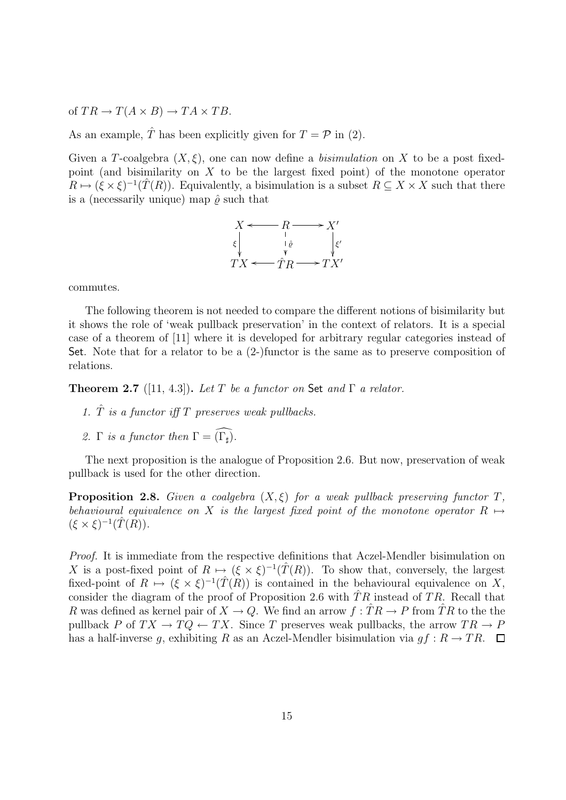of  $TR \to T(A \times B) \to TA \times TB$ .

As an example,  $\hat{T}$  has been explicitly given for  $T = \mathcal{P}$  in (2).

Given a T-coalgebra  $(X, \xi)$ , one can now define a *bisimulation* on X to be a post fixedpoint (and bisimilarity on  $X$  to be the largest fixed point) of the monotone operator  $R \mapsto (\xi \times \xi)^{-1}(\hat{T}(R))$ . Equivalently, a bisimulation is a subset  $R \subseteq X \times X$  such that there is a (necessarily unique) map  $\hat{\rho}$  such that



commutes.

The following theorem is not needed to compare the different notions of bisimilarity but it shows the role of 'weak pullback preservation' in the context of relators. It is a special case of a theorem of [11] where it is developed for arbitrary regular categories instead of Set. Note that for a relator to be a (2-)functor is the same as to preserve composition of relations.

**Theorem 2.7** ([11, 4.3]). Let T be a functor on Set and  $\Gamma$  a relator.

- 1.  $\hat{T}$  is a functor iff T preserves weak pullbacks.
- 2. Γ is a functor then  $\Gamma = \widehat{(\Gamma_{\sharp})}$ .

The next proposition is the analogue of Proposition 2.6. But now, preservation of weak pullback is used for the other direction.

**Proposition 2.8.** Given a coalgebra  $(X, \xi)$  for a weak pullback preserving functor T, behavioural equivalence on X is the largest fixed point of the monotone operator  $R \mapsto$  $(\xi \times \xi)^{-1}(\hat{T}(R)).$ 

Proof. It is immediate from the respective definitions that Aczel-Mendler bisimulation on X is a post-fixed point of  $R \mapsto (\xi \times \xi)^{-1}(\hat{T}(R))$ . To show that, conversely, the largest fixed-point of  $R \mapsto (\xi \times \xi)^{-1}(\hat{T}(R))$  is contained in the behavioural equivalence on X, consider the diagram of the proof of Proposition 2.6 with  $TR$  instead of TR. Recall that R was defined as kernel pair of  $X \to Q$ . We find an arrow  $f:TR \to P$  from TR to the the pullback P of  $TX \to TQ \leftarrow TX$ . Since T preserves weak pullbacks, the arrow  $TR \to P$ has a half-inverse g, exhibiting R as an Aczel-Mendler bisimulation via  $gf : R \to TR$ .  $\Box$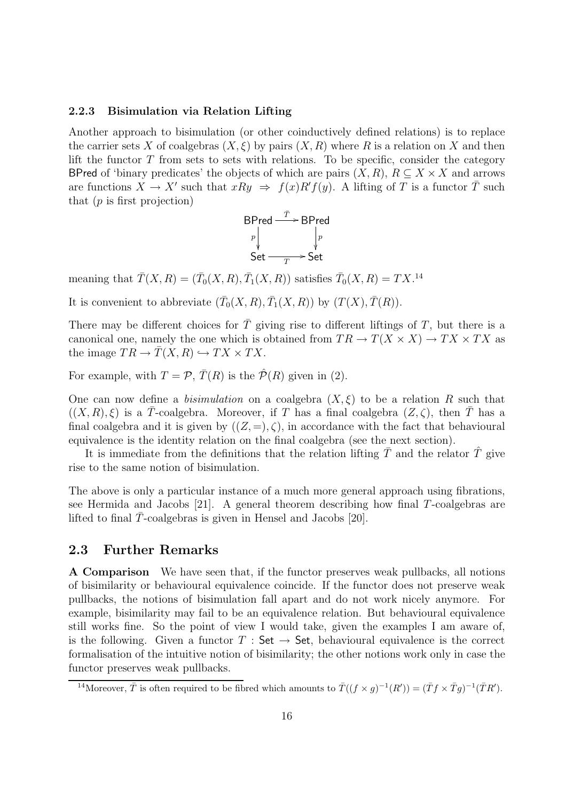#### 2.2.3 Bisimulation via Relation Lifting

Another approach to bisimulation (or other coinductively defined relations) is to replace the carrier sets X of coalgebras  $(X, \xi)$  by pairs  $(X, R)$  where R is a relation on X and then lift the functor  $T$  from sets to sets with relations. To be specific, consider the category BPred of 'binary predicates' the objects of which are pairs  $(X, R)$ ,  $R \subseteq X \times X$  and arrows are functions  $X \to X'$  such that  $xRy \Rightarrow f(x)R'f(y)$ . A lifting of T is a functor  $\overline{T}$  such that  $(p \text{ is first projection})$ 

$$
\begin{array}{ccc}\n\mathsf{BPred} & \xrightarrow{\bar{T}} & \mathsf{BPred} \\
p & & p \\
\mathsf{Set} & \xrightarrow{T} & \mathsf{Set}\n\end{array}
$$

meaning that  $\bar{T}(X, R) = (\bar{T}_0(X, R), \bar{T}_1(X, R))$  satisfies  $\bar{T}_0(X, R) = TX$ .<sup>14</sup>

It is convenient to abbreviate  $(\bar{T}_0(X,R), \bar{T}_1(X,R))$  by  $(T(X), \bar{T}(R))$ .

There may be different choices for  $\overline{T}$  giving rise to different liftings of  $T$ , but there is a canonical one, namely the one which is obtained from  $TR \to T(X \times X) \to TX \times TX$  as the image  $TR \to \overline{T}(X,R) \hookrightarrow TX \times TX$ .

For example, with  $T = \mathcal{P}, \overline{T}(R)$  is the  $\hat{\mathcal{P}}(R)$  given in (2).

One can now define a *bisimulation* on a coalgebra  $(X, \xi)$  to be a relation R such that  $((X, R), \xi)$  is a  $\overline{T}$ -coalgebra. Moreover, if T has a final coalgebra  $(Z, \zeta)$ , then  $\overline{T}$  has a final coalgebra and it is given by  $((Z, =), \zeta)$ , in accordance with the fact that behavioural equivalence is the identity relation on the final coalgebra (see the next section).

It is immediate from the definitions that the relation lifting  $\overline{T}$  and the relator  $\hat{T}$  give rise to the same notion of bisimulation.

The above is only a particular instance of a much more general approach using fibrations, see Hermida and Jacobs [21]. A general theorem describing how final T-coalgebras are lifted to final  $\overline{T}$ -coalgebras is given in Hensel and Jacobs [20].

#### 2.3 Further Remarks

A Comparison We have seen that, if the functor preserves weak pullbacks, all notions of bisimilarity or behavioural equivalence coincide. If the functor does not preserve weak pullbacks, the notions of bisimulation fall apart and do not work nicely anymore. For example, bisimilarity may fail to be an equivalence relation. But behavioural equivalence still works fine. So the point of view I would take, given the examples I am aware of, is the following. Given a functor  $T : Set \rightarrow Set$ , behavioural equivalence is the correct formalisation of the intuitive notion of bisimilarity; the other notions work only in case the functor preserves weak pullbacks.

<sup>&</sup>lt;sup>14</sup>Moreover,  $\overline{T}$  is often required to be fibred which amounts to  $\overline{T}((f \times g)^{-1}(R')) = (\overline{T}f \times \overline{T}g)^{-1}(\overline{T}R').$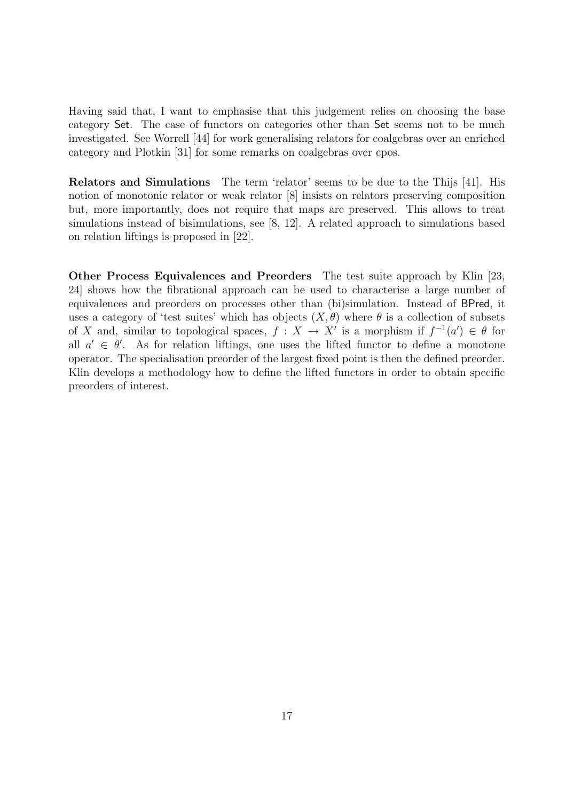Having said that, I want to emphasise that this judgement relies on choosing the base category Set. The case of functors on categories other than Set seems not to be much investigated. See Worrell [44] for work generalising relators for coalgebras over an enriched category and Plotkin [31] for some remarks on coalgebras over cpos.

Relators and Simulations The term 'relator' seems to be due to the Thijs [41]. His notion of monotonic relator or weak relator [8] insists on relators preserving composition but, more importantly, does not require that maps are preserved. This allows to treat simulations instead of bisimulations, see [8, 12]. A related approach to simulations based on relation liftings is proposed in [22].

Other Process Equivalences and Preorders The test suite approach by Klin [23, 24] shows how the fibrational approach can be used to characterise a large number of equivalences and preorders on processes other than (bi)simulation. Instead of BPred, it uses a category of 'test suites' which has objects  $(X, \theta)$  where  $\theta$  is a collection of subsets of X and, similar to topological spaces,  $f: X \to X'$  is a morphism if  $f^{-1}(a') \in \theta$  for all  $a' \in \theta'$ . As for relation liftings, one uses the lifted functor to define a monotone operator. The specialisation preorder of the largest fixed point is then the defined preorder. Klin develops a methodology how to define the lifted functors in order to obtain specific preorders of interest.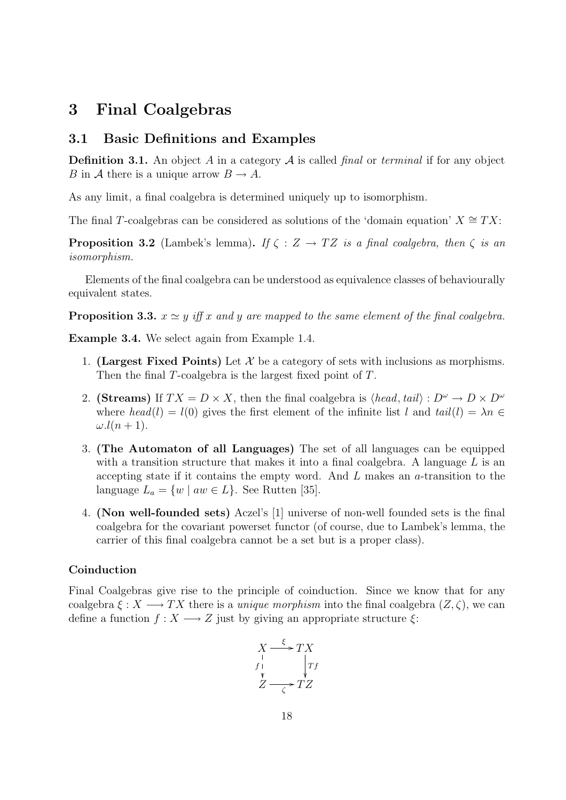## 3 Final Coalgebras

#### 3.1 Basic Definitions and Examples

**Definition 3.1.** An object A in a category  $A$  is called final or terminal if for any object B in A there is a unique arrow  $B \to A$ .

As any limit, a final coalgebra is determined uniquely up to isomorphism.

The final T-coalgebras can be considered as solutions of the 'domain equation'  $X \cong TX$ :

**Proposition 3.2** (Lambek's lemma). If  $\zeta : Z \to TZ$  is a final coalgebra, then  $\zeta$  is an isomorphism.

Elements of the final coalgebra can be understood as equivalence classes of behaviourally equivalent states.

**Proposition 3.3.**  $x \simeq y$  iff x and y are mapped to the same element of the final coalgebra.

Example 3.4. We select again from Example 1.4.

- 1. (Largest Fixed Points) Let  $\mathcal X$  be a category of sets with inclusions as morphisms. Then the final T-coalgebra is the largest fixed point of T.
- 2. (Streams) If  $TX = D \times X$ , then the final coalgebra is  $\langle head, tail \rangle : D^{\omega} \to D \times D^{\omega}$ where  $head(l) = l(0)$  gives the first element of the infinite list l and  $tail(l) = \lambda n \in$  $\omega$ .l(n + 1).
- 3. (The Automaton of all Languages) The set of all languages can be equipped with a transition structure that makes it into a final coalgebra. A language  $L$  is an accepting state if it contains the empty word. And  $L$  makes an  $a$ -transition to the language  $L_a = \{w \mid aw \in L\}$ . See Rutten [35].
- 4. (Non well-founded sets) Aczel's [1] universe of non-well founded sets is the final coalgebra for the covariant powerset functor (of course, due to Lambek's lemma, the carrier of this final coalgebra cannot be a set but is a proper class).

#### Coinduction

Final Coalgebras give rise to the principle of coinduction. Since we know that for any coalgebra  $\xi: X \longrightarrow TX$  there is a unique morphism into the final coalgebra  $(Z, \zeta)$ , we can define a function  $f: X \longrightarrow Z$  just by giving an appropriate structure  $\xi$ :

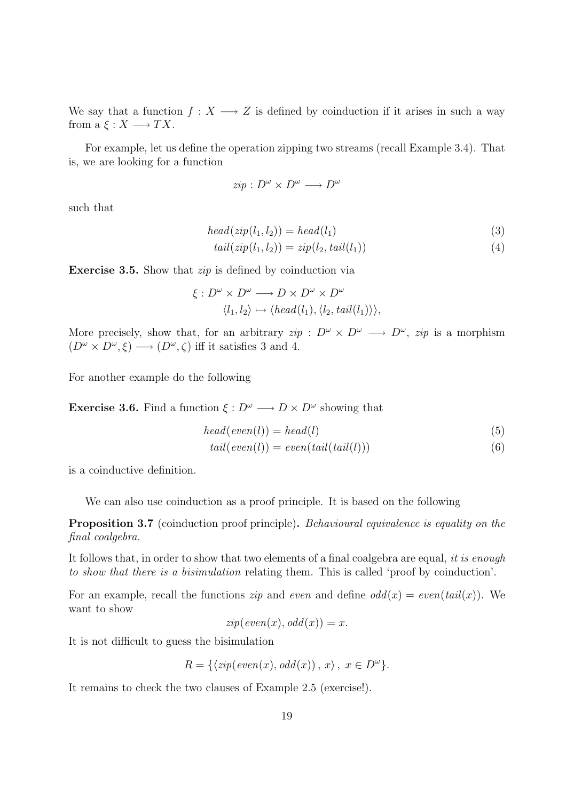We say that a function  $f: X \longrightarrow Z$  is defined by coinduction if it arises in such a way from  $a \in X \longrightarrow TX$ .

For example, let us define the operation zipping two streams (recall Example 3.4). That is, we are looking for a function

$$
zip: D^{\omega} \times D^{\omega} \longrightarrow D^{\omega}
$$

such that

$$
head(zip(l_1, l_2)) = head(l_1)
$$
\n(3)

$$
tail(zip(l_1, l_2)) = zip(l_2, tail(l_1))
$$
\n
$$
(4)
$$

Exercise 3.5. Show that zip is defined by coinduction via

$$
\xi: D^{\omega} \times D^{\omega} \longrightarrow D \times D^{\omega} \times D^{\omega}
$$
  

$$
\langle l_1, l_2 \rangle \mapsto \langle head(l_1), \langle l_2, tail(l_1) \rangle \rangle,
$$

More precisely, show that, for an arbitrary  $zip : D^{\omega} \times D^{\omega} \longrightarrow D^{\omega}$ ,  $zip$  is a morphism  $(D^{\omega} \times D^{\omega}, \xi) \longrightarrow (D^{\omega}, \zeta)$  iff it satisfies 3 and 4.

For another example do the following

**Exercise 3.6.** Find a function  $\xi : D^{\omega} \longrightarrow D \times D^{\omega}$  showing that

$$
head(even(l)) = head(l)
$$
\n(5)

$$
tail(even(l)) = even(tail(tail(l)))\tag{6}
$$

is a coinductive definition.

We can also use coinduction as a proof principle. It is based on the following

Proposition 3.7 (coinduction proof principle). Behavioural equivalence is equality on the final coalgebra.

It follows that, in order to show that two elements of a final coalgebra are equal, it is enough to show that there is a bisimulation relating them. This is called 'proof by coinduction'.

For an example, recall the functions *zip* and *even* and define  $odd(x) = even(tail(x))$ . We want to show

$$
zip(even(x), odd(x)) = x.
$$

It is not difficult to guess the bisimulation

$$
R = \{ \langle zip(\text{even}(x), \text{odd}(x)) \, , \, x \rangle \, , \, x \in D^{\omega} \}.
$$

It remains to check the two clauses of Example 2.5 (exercise!).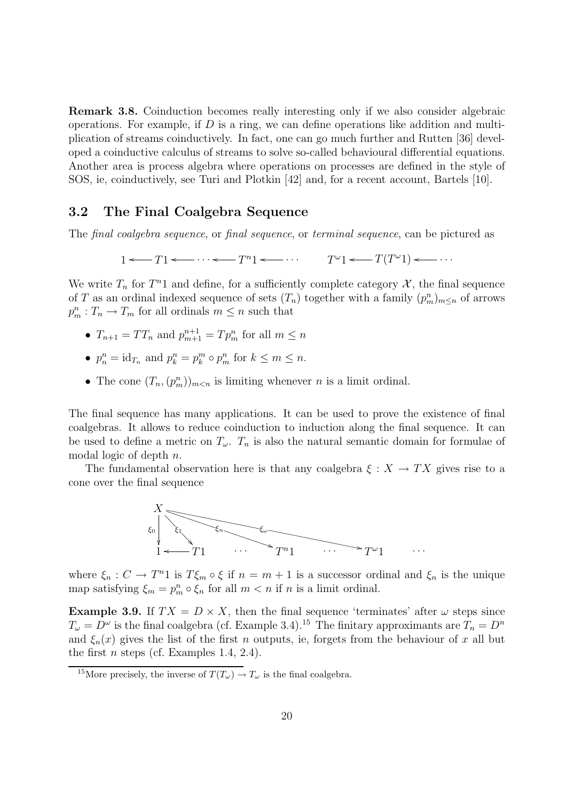Remark 3.8. Coinduction becomes really interesting only if we also consider algebraic operations. For example, if  $D$  is a ring, we can define operations like addition and multiplication of streams coinductively. In fact, one can go much further and Rutten [36] developed a coinductive calculus of streams to solve so-called behavioural differential equations. Another area is process algebra where operations on processes are defined in the style of SOS, ie, coinductively, see Turi and Plotkin [42] and, for a recent account, Bartels [10].

#### 3.2 The Final Coalgebra Sequence

The final coalgebra sequence, or final sequence, or terminal sequence, can be pictured as

 $1 \leftarrow T1 \leftarrow \cdots \leftarrow T^{n}1 \leftarrow \cdots$   $T^{\omega}1 \leftarrow T(T^{\omega}1) \leftarrow \cdots$ 

We write  $T_n$  for  $T^n1$  and define, for a sufficiently complete category  $\mathcal{X}$ , the final sequence of T as an ordinal indexed sequence of sets  $(T_n)$  together with a family  $(p_m^n)_{m \leq n}$  of arrows  $p_m^n: T_n \to T_m$  for all ordinals  $m \leq n$  such that

- $T_{n+1} = TT_n$  and  $p_{m+1}^{n+1} = Tp_m^n$  for all  $m \le n$
- $p_n^n = \text{id}_{T_n}$  and  $p_k^n = p_k^m \circ p_m^n$  for  $k \leq m \leq n$ .
- The cone  $(T_n, (p_m^n))_{m \lt n}$  is limiting whenever n is a limit ordinal.

The final sequence has many applications. It can be used to prove the existence of final coalgebras. It allows to reduce coinduction to induction along the final sequence. It can be used to define a metric on  $T_{\omega}$ .  $T_n$  is also the natural semantic domain for formulae of modal logic of depth n.

The fundamental observation here is that any coalgebra  $\xi : X \to TX$  gives rise to a cone over the final sequence



where  $\xi_n: C \to T^n1$  is  $T\xi_m \circ \xi$  if  $n = m + 1$  is a successor ordinal and  $\xi_n$  is the unique map satisfying  $\xi_m = p_m^n \circ \xi_n$  for all  $m < n$  if n is a limit ordinal.

Example 3.9. If  $TX = D \times X$ , then the final sequence 'terminates' after  $\omega$  steps since  $T_{\omega} = D^{\omega}$  is the final coalgebra (cf. Example 3.4).<sup>15</sup> The finitary approximants are  $T_n = D^n$ and  $\xi_n(x)$  gives the list of the first n outputs, ie, forgets from the behaviour of x all but the first *n* steps (cf. Examples 1.4, 2.4).

<sup>&</sup>lt;sup>15</sup>More precisely, the inverse of  $T(T_\omega) \to T_\omega$  is the final coalgebra.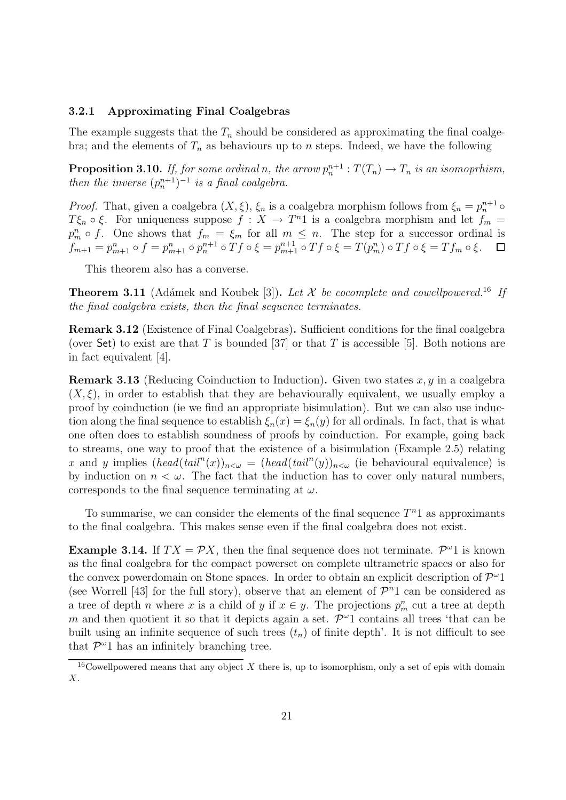#### 3.2.1 Approximating Final Coalgebras

The example suggests that the  $T_n$  should be considered as approximating the final coalgebra; and the elements of  $T_n$  as behaviours up to n steps. Indeed, we have the following

**Proposition 3.10.** If, for some ordinal n, the arrow  $p_n^{n+1} : T(T_n) \to T_n$  is an isomoprhism, then the inverse  $(p_n^{n+1})^{-1}$  is a final coalgebra.

*Proof.* That, given a coalgebra  $(X, \xi)$ ,  $\xi_n$  is a coalgebra morphism follows from  $\xi_n = p_n^{n+1} \circ$  $T\xi_n \circ \xi$ . For uniqueness suppose  $f: X \to T<sup>n</sup>1$  is a coalgebra morphism and let  $f_m =$  $p_m^n \circ f$ . One shows that  $f_m = \xi_m$  for all  $m \leq n$ . The step for a successor ordinal is  $f_{m+1} = p_{m+1}^n \circ f = p_{m+1}^n \circ p_n^{n+1} \circ Tf \circ \xi = p_{m+1}^{n+1} \circ Tf \circ \xi = T(p_m^n) \circ Tf \circ \xi = Tf_m \circ \xi.$ 

This theorem also has a converse.

**Theorem 3.11** (Adámek and Koubek [3]). Let  $\mathcal{X}$  be cocomplete and cowellpowered.<sup>16</sup> If the final coalgebra exists, then the final sequence terminates.

Remark 3.12 (Existence of Final Coalgebras). Sufficient conditions for the final coalgebra (over Set) to exist are that T is bounded [37] or that T is accessible [5]. Both notions are in fact equivalent [4].

**Remark 3.13** (Reducing Coinduction to Induction). Given two states x, y in a coalgebra  $(X, \xi)$ , in order to establish that they are behaviourally equivalent, we usually employ a proof by coinduction (ie we find an appropriate bisimulation). But we can also use induction along the final sequence to establish  $\xi_n(x) = \xi_n(y)$  for all ordinals. In fact, that is what one often does to establish soundness of proofs by coinduction. For example, going back to streams, one way to proof that the existence of a bisimulation (Example 2.5) relating x and y implies  $(head(tail^{n}(x))_{n\leq \omega} = (head(tail^{n}(y))_{n\leq \omega}$  (ie behavioural equivalence) is by induction on  $n < \omega$ . The fact that the induction has to cover only natural numbers, corresponds to the final sequence terminating at  $\omega$ .

To summarise, we can consider the elements of the final sequence  $T<sup>n</sup>1$  as approximants to the final coalgebra. This makes sense even if the final coalgebra does not exist.

**Example 3.14.** If  $TX = \mathcal{P}X$ , then the final sequence does not terminate.  $\mathcal{P}^{\omega}1$  is known as the final coalgebra for the compact powerset on complete ultrametric spaces or also for the convex powerdomain on Stone spaces. In order to obtain an explicit description of  $\mathcal{P}^{\omega}1$ (see Worrell [43] for the full story), observe that an element of  $\mathcal{P}^n$ 1 can be considered as a tree of depth *n* where x is a child of y if  $x \in y$ . The projections  $p_m^n$  cut a tree at depth m and then quotient it so that it depicts again a set.  $\mathcal{P}^{\omega}1$  contains all trees 'that can be built using an infinite sequence of such trees  $(t_n)$  of finite depth'. It is not difficult to see that  $\mathcal{P}^{\omega}1$  has an infinitely branching tree.

<sup>&</sup>lt;sup>16</sup>Cowellpowered means that any object X there is, up to isomorphism, only a set of epis with domain X.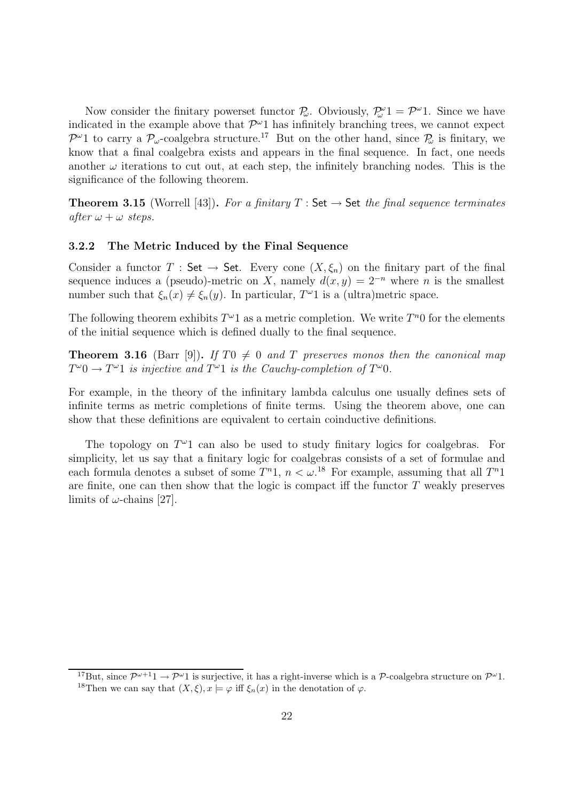Now consider the finitary powerset functor  $\mathcal{P}_{\omega}$ . Obviously,  $\mathcal{P}_{\omega}^{\omega}1 = \mathcal{P}^{\omega}1$ . Since we have indicated in the example above that  $\mathcal{P}^{\omega}1$  has infinitely branching trees, we cannot expect  $\mathcal{P}^{\omega}1$  to carry a  $\mathcal{P}_{\omega}$ -coalgebra structure.<sup>17</sup> But on the other hand, since  $\mathcal{P}_{\omega}$  is finitary, we know that a final coalgebra exists and appears in the final sequence. In fact, one needs another  $\omega$  iterations to cut out, at each step, the infinitely branching nodes. This is the significance of the following theorem.

**Theorem 3.15** (Worrell [43]). For a finitary  $T : Set \rightarrow Set$  the final sequence terminates after  $\omega + \omega$  steps.

#### 3.2.2 The Metric Induced by the Final Sequence

Consider a functor T : Set  $\rightarrow$  Set. Every cone  $(X, \xi_n)$  on the finitary part of the final sequence induces a (pseudo)-metric on X, namely  $d(x, y) = 2^{-n}$  where n is the smallest number such that  $\xi_n(x) \neq \xi_n(y)$ . In particular,  $T^{\omega}1$  is a (ultra)metric space.

The following theorem exhibits  $T^{\omega}1$  as a metric completion. We write  $T^n0$  for the elements of the initial sequence which is defined dually to the final sequence.

**Theorem 3.16** (Barr [9]). If T0  $\neq$  0 and T preserves monos then the canonical map  $T^{\omega}0 \to T^{\omega}1$  is injective and  $T^{\omega}1$  is the Cauchy-completion of  $T^{\omega}0$ .

For example, in the theory of the infinitary lambda calculus one usually defines sets of infinite terms as metric completions of finite terms. Using the theorem above, one can show that these definitions are equivalent to certain coinductive definitions.

The topology on  $T^{\omega_1}$  can also be used to study finitary logics for coalgebras. For simplicity, let us say that a finitary logic for coalgebras consists of a set of formulae and each formula denotes a subset of some  $T^{n}1$ ,  $n < \omega$ .<sup>18</sup> For example, assuming that all  $T^{n}1$ are finite, one can then show that the logic is compact iff the functor  $T$  weakly preserves limits of  $\omega$ -chains [27].

<sup>&</sup>lt;sup>17</sup>But, since  $\mathcal{P}^{\omega+1} \to \mathcal{P}^{\omega}$  is surjective, it has a right-inverse which is a  $\mathcal{P}$ -coalgebra structure on  $\mathcal{P}^{\omega}$ 1. <sup>18</sup>Then we can say that  $(X, \xi), x \models \varphi$  iff  $\xi_n(x)$  in the denotation of  $\varphi$ .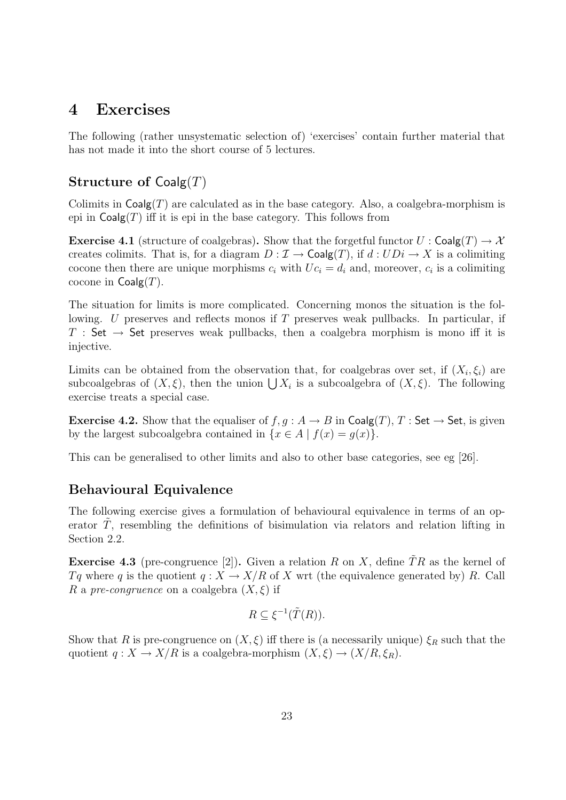## 4 Exercises

The following (rather unsystematic selection of) 'exercises' contain further material that has not made it into the short course of 5 lectures.

## Structure of  $Coalg(T)$

Colimits in  $\text{Coalg}(T)$  are calculated as in the base category. Also, a coalgebra-morphism is epi in  $\mathsf{Coalg}(T)$  iff it is epi in the base category. This follows from

**Exercise 4.1** (structure of coalgebras). Show that the forgetful functor  $U : \mathsf{Coalg}(T) \to \mathcal{X}$ creates colimits. That is, for a diagram  $D : \mathcal{I} \to \mathsf{Coalg}(T)$ , if  $d : UD_i \to X$  is a colimiting cocone then there are unique morphisms  $c_i$  with  $Uc_i = d_i$  and, moreover,  $c_i$  is a colimiting cocone in  $Coalg(T)$ .

The situation for limits is more complicated. Concerning monos the situation is the following. U preserves and reflects monos if T preserves weak pullbacks. In particular, if T : Set  $\rightarrow$  Set preserves weak pullbacks, then a coalgebra morphism is mono iff it is injective.

Limits can be obtained from the observation that, for coalgebras over set, if  $(X_i, \xi_i)$  are subcoalgebras of  $(X, \xi)$ , then the union  $\bigcup X_i$  is a subcoalgebra of  $(X, \xi)$ . The following exercise treats a special case.

**Exercise 4.2.** Show that the equaliser of  $f, g : A \to B$  in  $\text{Coalg}(T), T : \text{Set} \to \text{Set}$ , is given by the largest subcoalgebra contained in  $\{x \in A \mid f(x) = g(x)\}.$ 

This can be generalised to other limits and also to other base categories, see eg [26].

### Behavioural Equivalence

The following exercise gives a formulation of behavioural equivalence in terms of an operator  $T$ , resembling the definitions of bisimulation via relators and relation lifting in Section 2.2.

**Exercise 4.3** (pre-congruence [2]). Given a relation R on X, define  $\tilde{T}R$  as the kernel of Tq where q is the quotient  $q: X \to X/R$  of X wrt (the equivalence generated by) R. Call R a pre-congruence on a coalgebra  $(X, \xi)$  if

$$
R \subseteq \xi^{-1}(\tilde{T}(R)).
$$

Show that R is pre-congruence on  $(X, \xi)$  iff there is (a necessarily unique)  $\xi_R$  such that the quotient  $q: X \to X/R$  is a coalgebra-morphism  $(X, \xi) \to (X/R, \xi_R)$ .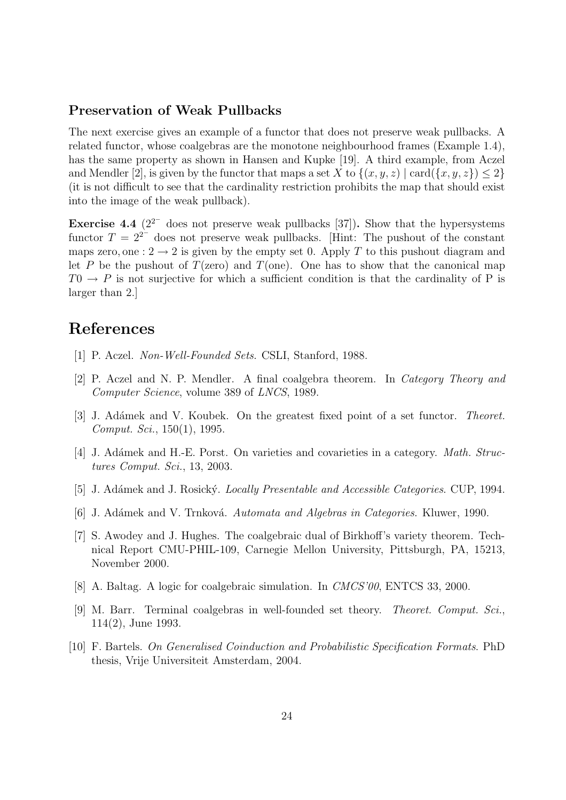#### Preservation of Weak Pullbacks

The next exercise gives an example of a functor that does not preserve weak pullbacks. A related functor, whose coalgebras are the monotone neighbourhood frames (Example 1.4), has the same property as shown in Hansen and Kupke [19]. A third example, from Aczel and Mendler [2], is given by the functor that maps a set X to  $\{(x, y, z) \mid \text{card}(\{x, y, z\}) \leq 2\}$ (it is not difficult to see that the cardinality restriction prohibits the map that should exist into the image of the weak pullback).

**Exercise 4.4**  $(2^{2^{-}}$  does not preserve weak pullbacks [37]). Show that the hypersystems functor  $T = 2^{2^{-}}$  does not preserve weak pullbacks. [Hint: The pushout of the constant maps zero, one :  $2 \rightarrow 2$  is given by the empty set 0. Apply T to this pushout diagram and let P be the pushout of  $T(zero)$  and  $T(one)$ . One has to show that the canonical map  $T0 \rightarrow P$  is not surjective for which a sufficient condition is that the cardinality of P is larger than 2.]

## References

- [1] P. Aczel. Non-Well-Founded Sets. CSLI, Stanford, 1988.
- [2] P. Aczel and N. P. Mendler. A final coalgebra theorem. In Category Theory and Computer Science, volume 389 of LNCS, 1989.
- [3] J. Adámek and V. Koubek. On the greatest fixed point of a set functor. Theoret. Comput. Sci., 150(1), 1995.
- [4] J. Adámek and H.-E. Porst. On varieties and covarieties in a category. *Math. Struc*tures Comput. Sci., 13, 2003.
- [5] J. Adámek and J. Rosický. *Locally Presentable and Accessible Categories*. CUP, 1994.
- [6] J. Adámek and V. Trnková. Automata and Algebras in Categories. Kluwer, 1990.
- [7] S. Awodey and J. Hughes. The coalgebraic dual of Birkhoff's variety theorem. Technical Report CMU-PHIL-109, Carnegie Mellon University, Pittsburgh, PA, 15213, November 2000.
- [8] A. Baltag. A logic for coalgebraic simulation. In CMCS'00, ENTCS 33, 2000.
- [9] M. Barr. Terminal coalgebras in well-founded set theory. Theoret. Comput. Sci., 114(2), June 1993.
- [10] F. Bartels. On Generalised Coinduction and Probabilistic Specification Formats. PhD thesis, Vrije Universiteit Amsterdam, 2004.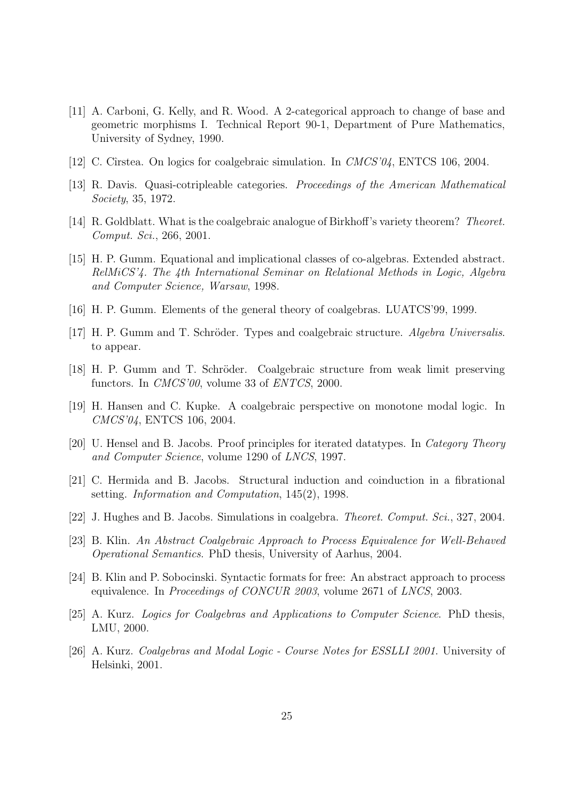- [11] A. Carboni, G. Kelly, and R. Wood. A 2-categorical approach to change of base and geometric morphisms I. Technical Report 90-1, Department of Pure Mathematics, University of Sydney, 1990.
- [12] C. Cîrstea. On logics for coalgebraic simulation. In *CMCS'04*, ENTCS 106, 2004.
- [13] R. Davis. Quasi-cotripleable categories. Proceedings of the American Mathematical Society, 35, 1972.
- [14] R. Goldblatt. What is the coalgebraic analogue of Birkhoff's variety theorem? Theoret. Comput. Sci., 266, 2001.
- [15] H. P. Gumm. Equational and implicational classes of co-algebras. Extended abstract. RelMiCS'4. The 4th International Seminar on Relational Methods in Logic, Algebra and Computer Science, Warsaw, 1998.
- [16] H. P. Gumm. Elements of the general theory of coalgebras. LUATCS'99, 1999.
- [17] H. P. Gumm and T. Schröder. Types and coalgebraic structure. Algebra Universalis. to appear.
- [18] H. P. Gumm and T. Schröder. Coalgebraic structure from weak limit preserving functors. In CMCS'00, volume 33 of ENTCS, 2000.
- [19] H. Hansen and C. Kupke. A coalgebraic perspective on monotone modal logic. In CMCS'04, ENTCS 106, 2004.
- [20] U. Hensel and B. Jacobs. Proof principles for iterated datatypes. In Category Theory and Computer Science, volume 1290 of LNCS, 1997.
- [21] C. Hermida and B. Jacobs. Structural induction and coinduction in a fibrational setting. Information and Computation, 145(2), 1998.
- [22] J. Hughes and B. Jacobs. Simulations in coalgebra. Theoret. Comput. Sci., 327, 2004.
- [23] B. Klin. An Abstract Coalgebraic Approach to Process Equivalence for Well-Behaved Operational Semantics. PhD thesis, University of Aarhus, 2004.
- [24] B. Klin and P. Sobocinski. Syntactic formats for free: An abstract approach to process equivalence. In Proceedings of CONCUR 2003, volume 2671 of LNCS, 2003.
- [25] A. Kurz. Logics for Coalgebras and Applications to Computer Science. PhD thesis, LMU, 2000.
- [26] A. Kurz. *Coalgebras and Modal Logic Course Notes for ESSLLI 2001*. University of Helsinki, 2001.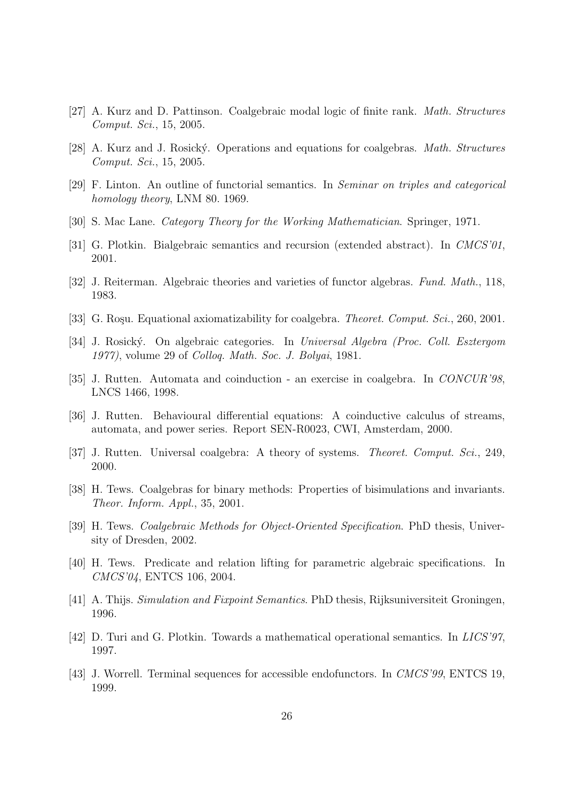- [27] A. Kurz and D. Pattinson. Coalgebraic modal logic of finite rank. Math. Structures Comput. Sci., 15, 2005.
- [28] A. Kurz and J. Rosick´y. Operations and equations for coalgebras. Math. Structures Comput. Sci., 15, 2005.
- [29] F. Linton. An outline of functorial semantics. In Seminar on triples and categorical homology theory, LNM 80. 1969.
- [30] S. Mac Lane. Category Theory for the Working Mathematician. Springer, 1971.
- [31] G. Plotkin. Bialgebraic semantics and recursion (extended abstract). In CMCS'01, 2001.
- [32] J. Reiterman. Algebraic theories and varieties of functor algebras. Fund. Math., 118, 1983.
- [33] G. Roşu. Equational axiomatizability for coalgebra. *Theoret. Comput. Sci.*, 260, 2001.
- [34] J. Rosick´y. On algebraic categories. In Universal Algebra (Proc. Coll. Esztergom 1977), volume 29 of Colloq. Math. Soc. J. Bolyai, 1981.
- [35] J. Rutten. Automata and coinduction an exercise in coalgebra. In CONCUR'98, LNCS 1466, 1998.
- [36] J. Rutten. Behavioural differential equations: A coinductive calculus of streams, automata, and power series. Report SEN-R0023, CWI, Amsterdam, 2000.
- [37] J. Rutten. Universal coalgebra: A theory of systems. Theoret. Comput. Sci., 249, 2000.
- [38] H. Tews. Coalgebras for binary methods: Properties of bisimulations and invariants. Theor. Inform. Appl., 35, 2001.
- [39] H. Tews. Coalgebraic Methods for Object-Oriented Specification. PhD thesis, University of Dresden, 2002.
- [40] H. Tews. Predicate and relation lifting for parametric algebraic specifications. In CMCS'04, ENTCS 106, 2004.
- [41] A. Thijs. Simulation and Fixpoint Semantics. PhD thesis, Rijksuniversiteit Groningen, 1996.
- [42] D. Turi and G. Plotkin. Towards a mathematical operational semantics. In LICS'97, 1997.
- [43] J. Worrell. Terminal sequences for accessible endofunctors. In CMCS'99, ENTCS 19, 1999.